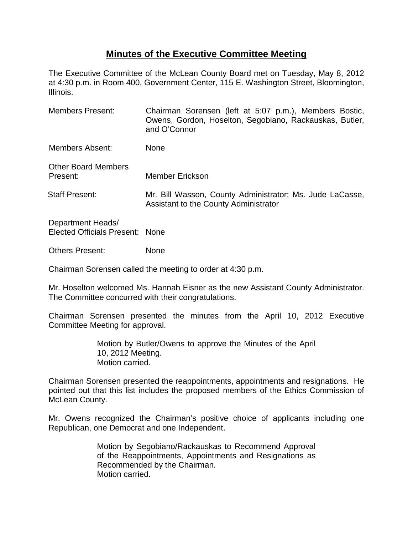## **Minutes of the Executive Committee Meeting**

The Executive Committee of the McLean County Board met on Tuesday, May 8, 2012 at 4:30 p.m. in Room 400, Government Center, 115 E. Washington Street, Bloomington, Illinois.

| <b>Members Present:</b>                              | Chairman Sorensen (left at 5:07 p.m.), Members Bostic,<br>Owens, Gordon, Hoselton, Segobiano, Rackauskas, Butler,<br>and O'Connor |
|------------------------------------------------------|-----------------------------------------------------------------------------------------------------------------------------------|
| Members Absent:                                      | None                                                                                                                              |
| <b>Other Board Members</b><br>Present:               | Member Erickson                                                                                                                   |
| <b>Staff Present:</b>                                | Mr. Bill Wasson, County Administrator; Ms. Jude LaCasse,<br>Assistant to the County Administrator                                 |
| Department Heads/<br>Elected Officials Present: None |                                                                                                                                   |

Others Present: None

Chairman Sorensen called the meeting to order at 4:30 p.m.

Mr. Hoselton welcomed Ms. Hannah Eisner as the new Assistant County Administrator. The Committee concurred with their congratulations.

Chairman Sorensen presented the minutes from the April 10, 2012 Executive Committee Meeting for approval.

> Motion by Butler/Owens to approve the Minutes of the April 10, 2012 Meeting. Motion carried.

Chairman Sorensen presented the reappointments, appointments and resignations. He pointed out that this list includes the proposed members of the Ethics Commission of McLean County.

Mr. Owens recognized the Chairman's positive choice of applicants including one Republican, one Democrat and one Independent.

> Motion by Segobiano/Rackauskas to Recommend Approval of the Reappointments, Appointments and Resignations as Recommended by the Chairman. Motion carried.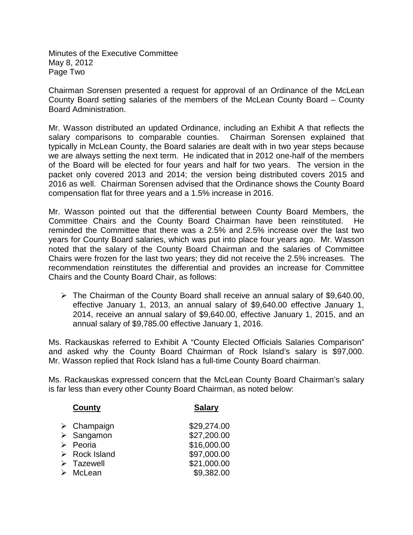Minutes of the Executive Committee May 8, 2012 Page Two

Chairman Sorensen presented a request for approval of an Ordinance of the McLean County Board setting salaries of the members of the McLean County Board – County Board Administration.

Mr. Wasson distributed an updated Ordinance, including an Exhibit A that reflects the salary comparisons to comparable counties. Chairman Sorensen explained that typically in McLean County, the Board salaries are dealt with in two year steps because we are always setting the next term. He indicated that in 2012 one-half of the members of the Board will be elected for four years and half for two years. The version in the packet only covered 2013 and 2014; the version being distributed covers 2015 and 2016 as well. Chairman Sorensen advised that the Ordinance shows the County Board compensation flat for three years and a 1.5% increase in 2016.

Mr. Wasson pointed out that the differential between County Board Members, the Committee Chairs and the County Board Chairman have been reinstituted. He reminded the Committee that there was a 2.5% and 2.5% increase over the last two years for County Board salaries, which was put into place four years ago. Mr. Wasson noted that the salary of the County Board Chairman and the salaries of Committee Chairs were frozen for the last two years; they did not receive the 2.5% increases. The recommendation reinstitutes the differential and provides an increase for Committee Chairs and the County Board Chair, as follows:

 $\triangleright$  The Chairman of the County Board shall receive an annual salary of \$9,640.00, effective January 1, 2013, an annual salary of \$9,640.00 effective January 1, 2014, receive an annual salary of \$9,640.00, effective January 1, 2015, and an annual salary of \$9,785.00 effective January 1, 2016.

Ms. Rackauskas referred to Exhibit A "County Elected Officials Salaries Comparison" and asked why the County Board Chairman of Rock Island's salary is \$97,000. Mr. Wasson replied that Rock Island has a full-time County Board chairman.

Ms. Rackauskas expressed concern that the McLean County Board Chairman's salary is far less than every other County Board Chairman, as noted below:

| County                       | <b>Salary</b> |
|------------------------------|---------------|
| $\triangleright$ Champaign   | \$29,274.00   |
| $\triangleright$ Sangamon    | \$27,200.00   |
| $\triangleright$ Peoria      | \$16,000.00   |
| $\triangleright$ Rock Island | \$97,000.00   |
| $\triangleright$ Tazewell    | \$21,000.00   |
| $\triangleright$ McLean      | \$9,382.00    |
|                              |               |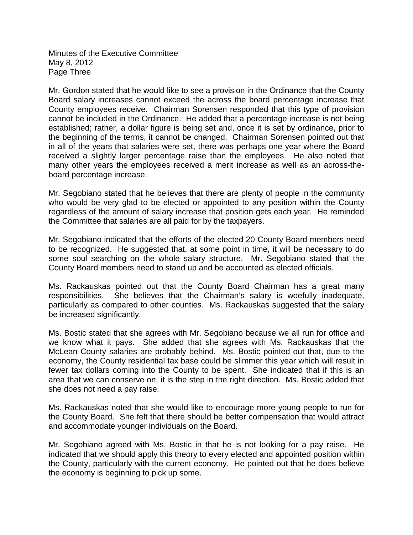Minutes of the Executive Committee May 8, 2012 Page Three

Mr. Gordon stated that he would like to see a provision in the Ordinance that the County Board salary increases cannot exceed the across the board percentage increase that County employees receive. Chairman Sorensen responded that this type of provision cannot be included in the Ordinance. He added that a percentage increase is not being established; rather, a dollar figure is being set and, once it is set by ordinance, prior to the beginning of the terms, it cannot be changed. Chairman Sorensen pointed out that in all of the years that salaries were set, there was perhaps one year where the Board received a slightly larger percentage raise than the employees. He also noted that many other years the employees received a merit increase as well as an across-theboard percentage increase.

Mr. Segobiano stated that he believes that there are plenty of people in the community who would be very glad to be elected or appointed to any position within the County regardless of the amount of salary increase that position gets each year. He reminded the Committee that salaries are all paid for by the taxpayers.

Mr. Segobiano indicated that the efforts of the elected 20 County Board members need to be recognized. He suggested that, at some point in time, it will be necessary to do some soul searching on the whole salary structure. Mr. Segobiano stated that the County Board members need to stand up and be accounted as elected officials.

Ms. Rackauskas pointed out that the County Board Chairman has a great many responsibilities. She believes that the Chairman's salary is woefully inadequate, particularly as compared to other counties. Ms. Rackauskas suggested that the salary be increased significantly.

Ms. Bostic stated that she agrees with Mr. Segobiano because we all run for office and we know what it pays. She added that she agrees with Ms. Rackauskas that the McLean County salaries are probably behind. Ms. Bostic pointed out that, due to the economy, the County residential tax base could be slimmer this year which will result in fewer tax dollars coming into the County to be spent. She indicated that if this is an area that we can conserve on, it is the step in the right direction. Ms. Bostic added that she does not need a pay raise.

Ms. Rackauskas noted that she would like to encourage more young people to run for the County Board. She felt that there should be better compensation that would attract and accommodate younger individuals on the Board.

Mr. Segobiano agreed with Ms. Bostic in that he is not looking for a pay raise. He indicated that we should apply this theory to every elected and appointed position within the County, particularly with the current economy. He pointed out that he does believe the economy is beginning to pick up some.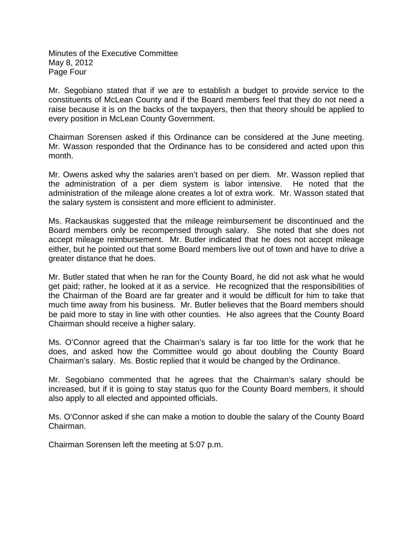Minutes of the Executive Committee May 8, 2012 Page Four

Mr. Segobiano stated that if we are to establish a budget to provide service to the constituents of McLean County and if the Board members feel that they do not need a raise because it is on the backs of the taxpayers, then that theory should be applied to every position in McLean County Government.

Chairman Sorensen asked if this Ordinance can be considered at the June meeting. Mr. Wasson responded that the Ordinance has to be considered and acted upon this month.

Mr. Owens asked why the salaries aren't based on per diem. Mr. Wasson replied that the administration of a per diem system is labor intensive. He noted that the administration of the mileage alone creates a lot of extra work. Mr. Wasson stated that the salary system is consistent and more efficient to administer.

Ms. Rackauskas suggested that the mileage reimbursement be discontinued and the Board members only be recompensed through salary. She noted that she does not accept mileage reimbursement. Mr. Butler indicated that he does not accept mileage either, but he pointed out that some Board members live out of town and have to drive a greater distance that he does.

Mr. Butler stated that when he ran for the County Board, he did not ask what he would get paid; rather, he looked at it as a service. He recognized that the responsibilities of the Chairman of the Board are far greater and it would be difficult for him to take that much time away from his business. Mr. Butler believes that the Board members should be paid more to stay in line with other counties. He also agrees that the County Board Chairman should receive a higher salary.

Ms. O'Connor agreed that the Chairman's salary is far too little for the work that he does, and asked how the Committee would go about doubling the County Board Chairman's salary. Ms. Bostic replied that it would be changed by the Ordinance.

Mr. Segobiano commented that he agrees that the Chairman's salary should be increased, but if it is going to stay status quo for the County Board members, it should also apply to all elected and appointed officials.

Ms. O'Connor asked if she can make a motion to double the salary of the County Board Chairman.

Chairman Sorensen left the meeting at 5:07 p.m.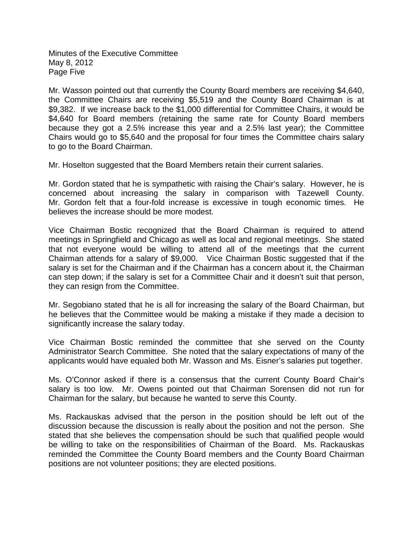Minutes of the Executive Committee May 8, 2012 Page Five

Mr. Wasson pointed out that currently the County Board members are receiving \$4,640, the Committee Chairs are receiving \$5,519 and the County Board Chairman is at \$9,382. If we increase back to the \$1,000 differential for Committee Chairs, it would be \$4,640 for Board members (retaining the same rate for County Board members because they got a 2.5% increase this year and a 2.5% last year); the Committee Chairs would go to \$5,640 and the proposal for four times the Committee chairs salary to go to the Board Chairman.

Mr. Hoselton suggested that the Board Members retain their current salaries.

Mr. Gordon stated that he is sympathetic with raising the Chair's salary. However, he is concerned about increasing the salary in comparison with Tazewell County. Mr. Gordon felt that a four-fold increase is excessive in tough economic times. He believes the increase should be more modest.

Vice Chairman Bostic recognized that the Board Chairman is required to attend meetings in Springfield and Chicago as well as local and regional meetings. She stated that not everyone would be willing to attend all of the meetings that the current Chairman attends for a salary of \$9,000. Vice Chairman Bostic suggested that if the salary is set for the Chairman and if the Chairman has a concern about it, the Chairman can step down; if the salary is set for a Committee Chair and it doesn't suit that person, they can resign from the Committee.

Mr. Segobiano stated that he is all for increasing the salary of the Board Chairman, but he believes that the Committee would be making a mistake if they made a decision to significantly increase the salary today.

Vice Chairman Bostic reminded the committee that she served on the County Administrator Search Committee. She noted that the salary expectations of many of the applicants would have equaled both Mr. Wasson and Ms. Eisner's salaries put together.

Ms. O'Connor asked if there is a consensus that the current County Board Chair's salary is too low. Mr. Owens pointed out that Chairman Sorensen did not run for Chairman for the salary, but because he wanted to serve this County.

Ms. Rackauskas advised that the person in the position should be left out of the discussion because the discussion is really about the position and not the person. She stated that she believes the compensation should be such that qualified people would be willing to take on the responsibilities of Chairman of the Board. Ms. Rackauskas reminded the Committee the County Board members and the County Board Chairman positions are not volunteer positions; they are elected positions.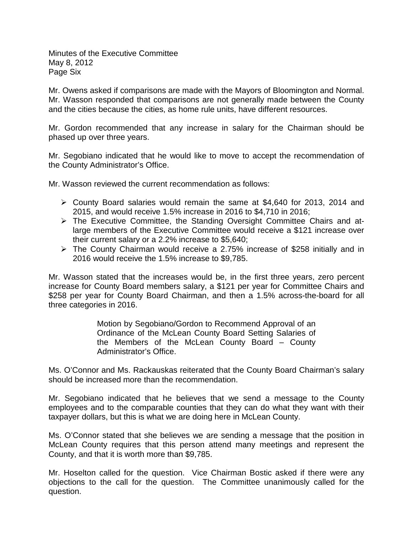Minutes of the Executive Committee May 8, 2012 Page Six

Mr. Owens asked if comparisons are made with the Mayors of Bloomington and Normal. Mr. Wasson responded that comparisons are not generally made between the County and the cities because the cities, as home rule units, have different resources.

Mr. Gordon recommended that any increase in salary for the Chairman should be phased up over three years.

Mr. Segobiano indicated that he would like to move to accept the recommendation of the County Administrator's Office.

Mr. Wasson reviewed the current recommendation as follows:

- County Board salaries would remain the same at \$4,640 for 2013, 2014 and 2015, and would receive 1.5% increase in 2016 to \$4,710 in 2016;
- The Executive Committee, the Standing Oversight Committee Chairs and atlarge members of the Executive Committee would receive a \$121 increase over their current salary or a 2.2% increase to \$5,640;
- The County Chairman would receive a 2.75% increase of \$258 initially and in 2016 would receive the 1.5% increase to \$9,785.

Mr. Wasson stated that the increases would be, in the first three years, zero percent increase for County Board members salary, a \$121 per year for Committee Chairs and \$258 per year for County Board Chairman, and then a 1.5% across-the-board for all three categories in 2016.

> Motion by Segobiano/Gordon to Recommend Approval of an Ordinance of the McLean County Board Setting Salaries of the Members of the McLean County Board – County Administrator's Office.

Ms. O'Connor and Ms. Rackauskas reiterated that the County Board Chairman's salary should be increased more than the recommendation.

Mr. Segobiano indicated that he believes that we send a message to the County employees and to the comparable counties that they can do what they want with their taxpayer dollars, but this is what we are doing here in McLean County.

Ms. O'Connor stated that she believes we are sending a message that the position in McLean County requires that this person attend many meetings and represent the County, and that it is worth more than \$9,785.

Mr. Hoselton called for the question. Vice Chairman Bostic asked if there were any objections to the call for the question. The Committee unanimously called for the question.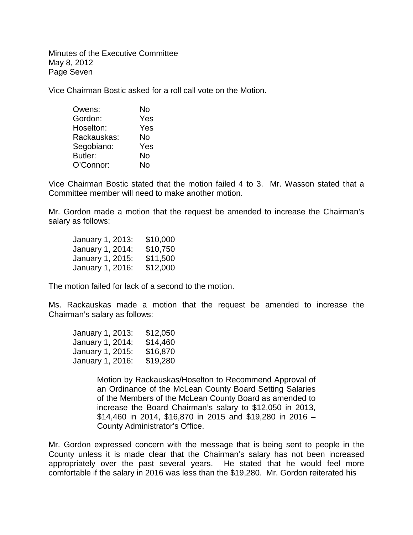Minutes of the Executive Committee May 8, 2012 Page Seven

Vice Chairman Bostic asked for a roll call vote on the Motion.

| Owens:      | No  |
|-------------|-----|
| Gordon:     | Yes |
| Hoselton:   | Yes |
| Rackauskas: | No  |
| Segobiano:  | Yes |
| Butler:     | No  |
| O'Connor:   | N٥  |

Vice Chairman Bostic stated that the motion failed 4 to 3. Mr. Wasson stated that a Committee member will need to make another motion.

Mr. Gordon made a motion that the request be amended to increase the Chairman's salary as follows:

| January 1, 2013: | \$10,000 |
|------------------|----------|
| January 1, 2014: | \$10,750 |
| January 1, 2015: | \$11,500 |
| January 1, 2016: | \$12,000 |

The motion failed for lack of a second to the motion.

Ms. Rackauskas made a motion that the request be amended to increase the Chairman's salary as follows:

| January 1, 2013: | \$12,050 |
|------------------|----------|
| January 1, 2014: | \$14,460 |
| January 1, 2015: | \$16,870 |
| January 1, 2016: | \$19,280 |

Motion by Rackauskas/Hoselton to Recommend Approval of an Ordinance of the McLean County Board Setting Salaries of the Members of the McLean County Board as amended to increase the Board Chairman's salary to \$12,050 in 2013, \$14,460 in 2014, \$16,870 in 2015 and \$19,280 in 2016 – County Administrator's Office.

Mr. Gordon expressed concern with the message that is being sent to people in the County unless it is made clear that the Chairman's salary has not been increased appropriately over the past several years. He stated that he would feel more comfortable if the salary in 2016 was less than the \$19,280. Mr. Gordon reiterated his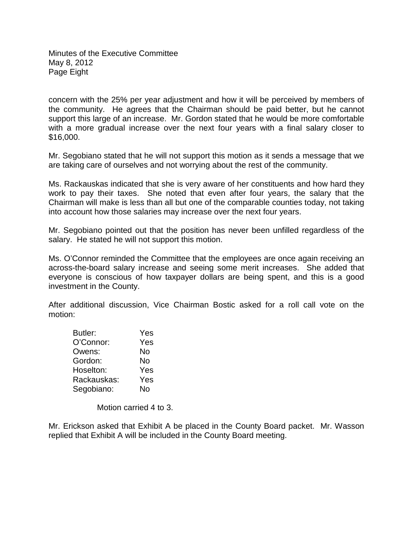Minutes of the Executive Committee May 8, 2012 Page Eight

concern with the 25% per year adjustment and how it will be perceived by members of the community. He agrees that the Chairman should be paid better, but he cannot support this large of an increase. Mr. Gordon stated that he would be more comfortable with a more gradual increase over the next four years with a final salary closer to \$16,000.

Mr. Segobiano stated that he will not support this motion as it sends a message that we are taking care of ourselves and not worrying about the rest of the community.

Ms. Rackauskas indicated that she is very aware of her constituents and how hard they work to pay their taxes. She noted that even after four years, the salary that the Chairman will make is less than all but one of the comparable counties today, not taking into account how those salaries may increase over the next four years.

Mr. Segobiano pointed out that the position has never been unfilled regardless of the salary. He stated he will not support this motion.

Ms. O'Connor reminded the Committee that the employees are once again receiving an across-the-board salary increase and seeing some merit increases. She added that everyone is conscious of how taxpayer dollars are being spent, and this is a good investment in the County.

After additional discussion, Vice Chairman Bostic asked for a roll call vote on the motion:

| Butler:     | Yes |
|-------------|-----|
| O'Connor:   | Yes |
| Owens:      | No  |
| Gordon:     | No  |
| Hoselton:   | Yes |
| Rackauskas: | Yes |
| Segobiano:  | No  |

Motion carried 4 to 3.

Mr. Erickson asked that Exhibit A be placed in the County Board packet. Mr. Wasson replied that Exhibit A will be included in the County Board meeting.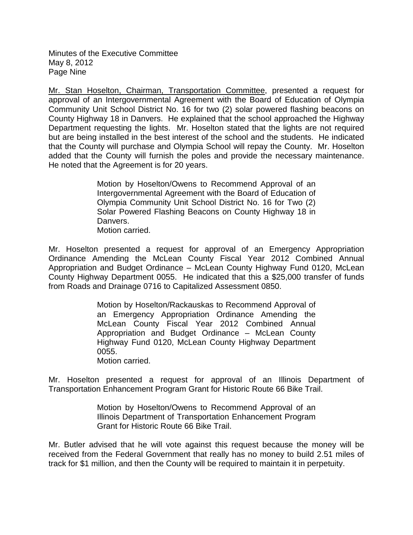Minutes of the Executive Committee May 8, 2012 Page Nine

Mr. Stan Hoselton, Chairman, Transportation Committee, presented a request for approval of an Intergovernmental Agreement with the Board of Education of Olympia Community Unit School District No. 16 for two (2) solar powered flashing beacons on County Highway 18 in Danvers. He explained that the school approached the Highway Department requesting the lights. Mr. Hoselton stated that the lights are not required but are being installed in the best interest of the school and the students. He indicated that the County will purchase and Olympia School will repay the County. Mr. Hoselton added that the County will furnish the poles and provide the necessary maintenance. He noted that the Agreement is for 20 years.

> Motion by Hoselton/Owens to Recommend Approval of an Intergovernmental Agreement with the Board of Education of Olympia Community Unit School District No. 16 for Two (2) Solar Powered Flashing Beacons on County Highway 18 in Danvers. Motion carried.

Mr. Hoselton presented a request for approval of an Emergency Appropriation Ordinance Amending the McLean County Fiscal Year 2012 Combined Annual Appropriation and Budget Ordinance – McLean County Highway Fund 0120, McLean County Highway Department 0055. He indicated that this a \$25,000 transfer of funds from Roads and Drainage 0716 to Capitalized Assessment 0850.

> Motion by Hoselton/Rackauskas to Recommend Approval of an Emergency Appropriation Ordinance Amending the McLean County Fiscal Year 2012 Combined Annual Appropriation and Budget Ordinance – McLean County Highway Fund 0120, McLean County Highway Department 0055.

Motion carried.

Mr. Hoselton presented a request for approval of an Illinois Department of Transportation Enhancement Program Grant for Historic Route 66 Bike Trail.

> Motion by Hoselton/Owens to Recommend Approval of an Illinois Department of Transportation Enhancement Program Grant for Historic Route 66 Bike Trail.

Mr. Butler advised that he will vote against this request because the money will be received from the Federal Government that really has no money to build 2.51 miles of track for \$1 million, and then the County will be required to maintain it in perpetuity.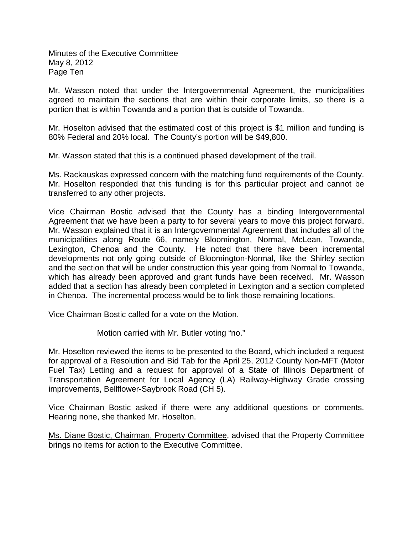Minutes of the Executive Committee May 8, 2012 Page Ten

Mr. Wasson noted that under the Intergovernmental Agreement, the municipalities agreed to maintain the sections that are within their corporate limits, so there is a portion that is within Towanda and a portion that is outside of Towanda.

Mr. Hoselton advised that the estimated cost of this project is \$1 million and funding is 80% Federal and 20% local. The County's portion will be \$49,800.

Mr. Wasson stated that this is a continued phased development of the trail.

Ms. Rackauskas expressed concern with the matching fund requirements of the County. Mr. Hoselton responded that this funding is for this particular project and cannot be transferred to any other projects.

Vice Chairman Bostic advised that the County has a binding Intergovernmental Agreement that we have been a party to for several years to move this project forward. Mr. Wasson explained that it is an Intergovernmental Agreement that includes all of the municipalities along Route 66, namely Bloomington, Normal, McLean, Towanda, Lexington, Chenoa and the County. He noted that there have been incremental developments not only going outside of Bloomington-Normal, like the Shirley section and the section that will be under construction this year going from Normal to Towanda, which has already been approved and grant funds have been received. Mr. Wasson added that a section has already been completed in Lexington and a section completed in Chenoa. The incremental process would be to link those remaining locations.

Vice Chairman Bostic called for a vote on the Motion.

Motion carried with Mr. Butler voting "no."

Mr. Hoselton reviewed the items to be presented to the Board, which included a request for approval of a Resolution and Bid Tab for the April 25, 2012 County Non-MFT (Motor Fuel Tax) Letting and a request for approval of a State of Illinois Department of Transportation Agreement for Local Agency (LA) Railway-Highway Grade crossing improvements, Bellflower-Saybrook Road (CH 5).

Vice Chairman Bostic asked if there were any additional questions or comments. Hearing none, she thanked Mr. Hoselton.

Ms. Diane Bostic, Chairman, Property Committee, advised that the Property Committee brings no items for action to the Executive Committee.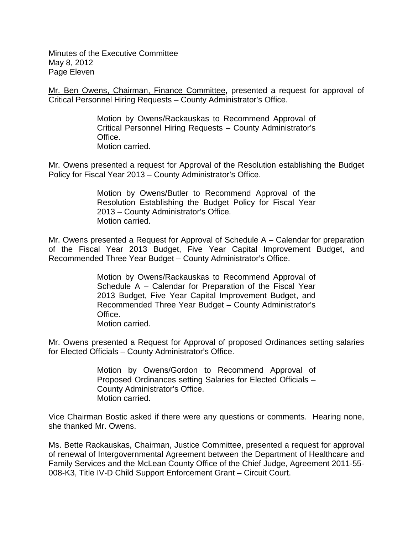Minutes of the Executive Committee May 8, 2012 Page Eleven

Mr. Ben Owens, Chairman, Finance Committee**,** presented a request for approval of Critical Personnel Hiring Requests – County Administrator's Office.

> Motion by Owens/Rackauskas to Recommend Approval of Critical Personnel Hiring Requests – County Administrator's Office. Motion carried.

Mr. Owens presented a request for Approval of the Resolution establishing the Budget Policy for Fiscal Year 2013 – County Administrator's Office.

> Motion by Owens/Butler to Recommend Approval of the Resolution Establishing the Budget Policy for Fiscal Year 2013 – County Administrator's Office. Motion carried.

Mr. Owens presented a Request for Approval of Schedule A – Calendar for preparation of the Fiscal Year 2013 Budget, Five Year Capital Improvement Budget, and Recommended Three Year Budget – County Administrator's Office.

> Motion by Owens/Rackauskas to Recommend Approval of Schedule A – Calendar for Preparation of the Fiscal Year 2013 Budget, Five Year Capital Improvement Budget, and Recommended Three Year Budget – County Administrator's **Office** Motion carried.

Mr. Owens presented a Request for Approval of proposed Ordinances setting salaries for Elected Officials – County Administrator's Office.

> Motion by Owens/Gordon to Recommend Approval of Proposed Ordinances setting Salaries for Elected Officials – County Administrator's Office. Motion carried.

Vice Chairman Bostic asked if there were any questions or comments. Hearing none, she thanked Mr. Owens.

Ms. Bette Rackauskas, Chairman, Justice Committee, presented a request for approval of renewal of Intergovernmental Agreement between the Department of Healthcare and Family Services and the McLean County Office of the Chief Judge, Agreement 2011-55- 008-K3, Title IV-D Child Support Enforcement Grant – Circuit Court.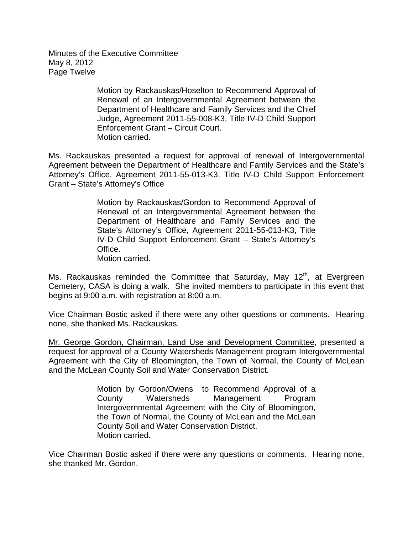Minutes of the Executive Committee May 8, 2012 Page Twelve

> Motion by Rackauskas/Hoselton to Recommend Approval of Renewal of an Intergovernmental Agreement between the Department of Healthcare and Family Services and the Chief Judge, Agreement 2011-55-008-K3, Title IV-D Child Support Enforcement Grant – Circuit Court. Motion carried.

Ms. Rackauskas presented a request for approval of renewal of Intergovernmental Agreement between the Department of Healthcare and Family Services and the State's Attorney's Office, Agreement 2011-55-013-K3, Title IV-D Child Support Enforcement Grant – State's Attorney's Office

> Motion by Rackauskas/Gordon to Recommend Approval of Renewal of an Intergovernmental Agreement between the Department of Healthcare and Family Services and the State's Attorney's Office, Agreement 2011-55-013-K3, Title IV-D Child Support Enforcement Grant – State's Attorney's Office. Motion carried.

Ms. Rackauskas reminded the Committee that Saturday, May 12<sup>th</sup>, at Evergreen Cemetery, CASA is doing a walk. She invited members to participate in this event that begins at 9:00 a.m. with registration at 8:00 a.m.

Vice Chairman Bostic asked if there were any other questions or comments. Hearing none, she thanked Ms. Rackauskas.

Mr. George Gordon, Chairman, Land Use and Development Committee, presented a request for approval of a County Watersheds Management program Intergovernmental Agreement with the City of Bloomington, the Town of Normal, the County of McLean and the McLean County Soil and Water Conservation District.

> Motion by Gordon/Owens to Recommend Approval of a County Watersheds Management Program Intergovernmental Agreement with the City of Bloomington, the Town of Normal, the County of McLean and the McLean County Soil and Water Conservation District. Motion carried.

Vice Chairman Bostic asked if there were any questions or comments. Hearing none, she thanked Mr. Gordon.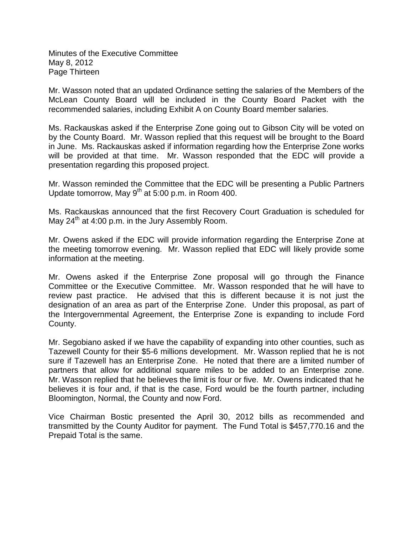Minutes of the Executive Committee May 8, 2012 Page Thirteen

Mr. Wasson noted that an updated Ordinance setting the salaries of the Members of the McLean County Board will be included in the County Board Packet with the recommended salaries, including Exhibit A on County Board member salaries.

Ms. Rackauskas asked if the Enterprise Zone going out to Gibson City will be voted on by the County Board. Mr. Wasson replied that this request will be brought to the Board in June. Ms. Rackauskas asked if information regarding how the Enterprise Zone works will be provided at that time. Mr. Wasson responded that the EDC will provide a presentation regarding this proposed project.

Mr. Wasson reminded the Committee that the EDC will be presenting a Public Partners Update tomorrow, May  $9<sup>th</sup>$  at 5:00 p.m. in Room 400.

Ms. Rackauskas announced that the first Recovery Court Graduation is scheduled for May  $24<sup>th</sup>$  at 4:00 p.m. in the Jury Assembly Room.

Mr. Owens asked if the EDC will provide information regarding the Enterprise Zone at the meeting tomorrow evening. Mr. Wasson replied that EDC will likely provide some information at the meeting.

Mr. Owens asked if the Enterprise Zone proposal will go through the Finance Committee or the Executive Committee. Mr. Wasson responded that he will have to review past practice. He advised that this is different because it is not just the designation of an area as part of the Enterprise Zone. Under this proposal, as part of the Intergovernmental Agreement, the Enterprise Zone is expanding to include Ford County.

Mr. Segobiano asked if we have the capability of expanding into other counties, such as Tazewell County for their \$5-6 millions development. Mr. Wasson replied that he is not sure if Tazewell has an Enterprise Zone. He noted that there are a limited number of partners that allow for additional square miles to be added to an Enterprise zone. Mr. Wasson replied that he believes the limit is four or five. Mr. Owens indicated that he believes it is four and, if that is the case, Ford would be the fourth partner, including Bloomington, Normal, the County and now Ford.

Vice Chairman Bostic presented the April 30, 2012 bills as recommended and transmitted by the County Auditor for payment. The Fund Total is \$457,770.16 and the Prepaid Total is the same.